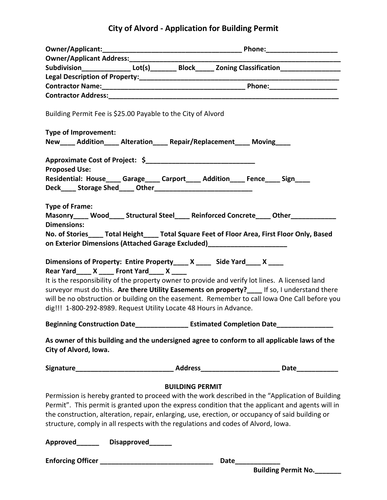## **City of Alvord - Application for Building Permit**

|                                                                                                                                                                                                 |                        | Subdivision________________Lot(s)___________Block_______ Zoning Classification_____________________                                                                                                                                                                                               |
|-------------------------------------------------------------------------------------------------------------------------------------------------------------------------------------------------|------------------------|---------------------------------------------------------------------------------------------------------------------------------------------------------------------------------------------------------------------------------------------------------------------------------------------------|
|                                                                                                                                                                                                 |                        |                                                                                                                                                                                                                                                                                                   |
|                                                                                                                                                                                                 |                        |                                                                                                                                                                                                                                                                                                   |
|                                                                                                                                                                                                 |                        |                                                                                                                                                                                                                                                                                                   |
| Building Permit Fee is \$25.00 Payable to the City of Alvord                                                                                                                                    |                        |                                                                                                                                                                                                                                                                                                   |
| Type of Improvement:                                                                                                                                                                            |                        |                                                                                                                                                                                                                                                                                                   |
| New____ Addition____ Alteration____ Repair/Replacement____ Moving____                                                                                                                           |                        |                                                                                                                                                                                                                                                                                                   |
|                                                                                                                                                                                                 |                        |                                                                                                                                                                                                                                                                                                   |
| <b>Proposed Use:</b>                                                                                                                                                                            |                        |                                                                                                                                                                                                                                                                                                   |
| Residential: House____ Garage____ Carport____ Addition____ Fence____ Sign____                                                                                                                   |                        |                                                                                                                                                                                                                                                                                                   |
|                                                                                                                                                                                                 |                        |                                                                                                                                                                                                                                                                                                   |
| <b>Type of Frame:</b>                                                                                                                                                                           |                        |                                                                                                                                                                                                                                                                                                   |
|                                                                                                                                                                                                 |                        | Masonry____ Wood____ Structural Steel____ Reinforced Concrete____ Other_________                                                                                                                                                                                                                  |
| <b>Dimensions:</b>                                                                                                                                                                              |                        |                                                                                                                                                                                                                                                                                                   |
| No. of Stories_____ Total Height_____ Total Square Feet of Floor Area, First Floor Only, Based                                                                                                  |                        |                                                                                                                                                                                                                                                                                                   |
| on Exterior Dimensions (Attached Garage Excluded)_________________________                                                                                                                      |                        |                                                                                                                                                                                                                                                                                                   |
| Dimensions of Property: Entire Property____ X ____ Side Yard____ X ____<br>Rear Yard_____ X _____ Front Yard_____ X _____<br>dig!!! 1-800-292-8989. Request Utility Locate 48 Hours in Advance. |                        | It is the responsibility of the property owner to provide and verify lot lines. A licensed land<br>surveyor must do this. Are there Utility Easements on property?____ If so, I understand there<br>will be no obstruction or building on the easement. Remember to call lowa One Call before you |
| <b>Beginning Construction Date</b>                                                                                                                                                              |                        | <b>Estimated Completion Date</b>                                                                                                                                                                                                                                                                  |
| As owner of this building and the undersigned agree to conform to all applicable laws of the<br>City of Alvord, Iowa.                                                                           |                        |                                                                                                                                                                                                                                                                                                   |
|                                                                                                                                                                                                 |                        |                                                                                                                                                                                                                                                                                                   |
|                                                                                                                                                                                                 | <b>BUILDING PERMIT</b> |                                                                                                                                                                                                                                                                                                   |
| Permission is hereby granted to proceed with the work described in the "Application of Building                                                                                                 |                        |                                                                                                                                                                                                                                                                                                   |
| Permit". This permit is granted upon the express condition that the applicant and agents will in                                                                                                |                        |                                                                                                                                                                                                                                                                                                   |
| the construction, alteration, repair, enlarging, use, erection, or occupancy of said building or                                                                                                |                        |                                                                                                                                                                                                                                                                                                   |
| structure, comply in all respects with the regulations and codes of Alvord, Iowa.                                                                                                               |                        |                                                                                                                                                                                                                                                                                                   |
| Approved________ Disapproved_______                                                                                                                                                             |                        |                                                                                                                                                                                                                                                                                                   |
|                                                                                                                                                                                                 |                        | Date_____________                                                                                                                                                                                                                                                                                 |
|                                                                                                                                                                                                 |                        | <b>Building Permit No.</b>                                                                                                                                                                                                                                                                        |
|                                                                                                                                                                                                 |                        |                                                                                                                                                                                                                                                                                                   |